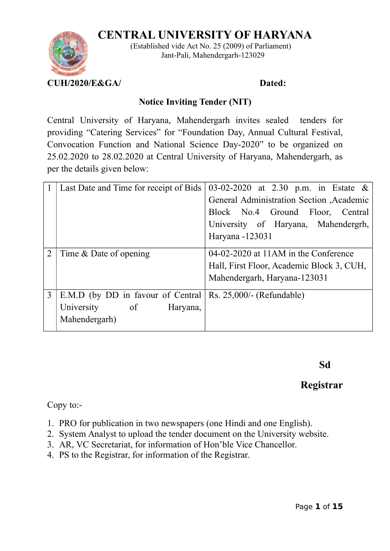# **CENTRAL UNIVERSITY OF HARYANA**



 (Established vide Act No. 25 (2009) of Parliament) Jant-Pali, Mahendergarh-123029

## **Notice Inviting Tender (NIT)**

Central University of Haryana, Mahendergarh invites sealed tenders for providing "Catering Services" for "Foundation Day, Annual Cultural Festival, Convocation Function and National Science Day-2020" to be organized on 25.02.2020 to 28.02.2020 at Central University of Haryana, Mahendergarh, as per the details given below:

|                | Last Date and Time for receipt of Bids | 03-02-2020 at 2.30 p.m. in Estate $\&$    |
|----------------|----------------------------------------|-------------------------------------------|
|                |                                        | General Administration Section , Academic |
|                |                                        | Block No.4 Ground Floor, Central          |
|                |                                        | University of Haryana, Mahendergrh,       |
|                |                                        | Haryana -123031                           |
| $\overline{2}$ | Time & Date of opening                 | 04-02-2020 at 11AM in the Conference      |
|                |                                        | Hall, First Floor, Academic Block 3, CUH, |
|                |                                        | Mahendergarh, Haryana-123031              |
| 3              | E.M.D (by DD in favour of Central      | $Rs. 25,000/-(Refundable)$                |
|                | University of<br>Haryana,              |                                           |
|                | Mahendergarh)                          |                                           |

 **Sd**

# **Registrar**

Copy to:-

- 1. PRO for publication in two newspapers (one Hindi and one English).
- 2. System Analyst to upload the tender document on the University website.
- 3. AR, VC Secretariat, for information of Hon'ble Vice Chancellor.
- 4. PS to the Registrar, for information of the Registrar.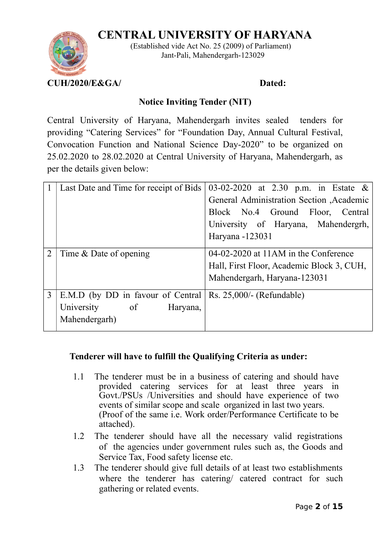# **CENTRAL UNIVERSITY OF HARYANA**



 (Established vide Act No. 25 (2009) of Parliament) Jant-Pali, Mahendergarh-123029

## **Notice Inviting Tender (NIT)**

Central University of Haryana, Mahendergarh invites sealed tenders for providing "Catering Services" for "Foundation Day, Annual Cultural Festival, Convocation Function and National Science Day-2020" to be organized on 25.02.2020 to 28.02.2020 at Central University of Haryana, Mahendergarh, as per the details given below:

|                | Last Date and Time for receipt of Bids | 03-02-2020 at 2.30 p.m. in Estate $\&$    |
|----------------|----------------------------------------|-------------------------------------------|
|                |                                        | General Administration Section , Academic |
|                |                                        | Block No.4 Ground Floor, Central          |
|                |                                        | University of Haryana, Mahendergrh,       |
|                |                                        | Haryana -123031                           |
| $\overline{2}$ | Time & Date of opening                 | 04-02-2020 at 11AM in the Conference      |
|                |                                        | Hall, First Floor, Academic Block 3, CUH, |
|                |                                        | Mahendergarh, Haryana-123031              |
| 3              | E.M.D (by DD in favour of Central      | $Rs. 25,000/-(Refundable)$                |
|                | University of<br>Haryana,              |                                           |
|                | Mahendergarh)                          |                                           |

## **Tenderer will have to fulfill the Qualifying Criteria as under:**

- 1.1 The tenderer must be in a business of catering and should have provided catering services for at least three years in Govt./PSUs /Universities and should have experience of two events of similar scope and scale organized in last two years. (Proof of the same i.e. Work order/Performance Certificate to be attached).
- 1.2 The tenderer should have all the necessary valid registrations of the agencies under government rules such as, the Goods and Service Tax, Food safety license etc.
- 1.3 The tenderer should give full details of at least two establishments where the tenderer has catering/ catered contract for such gathering or related events.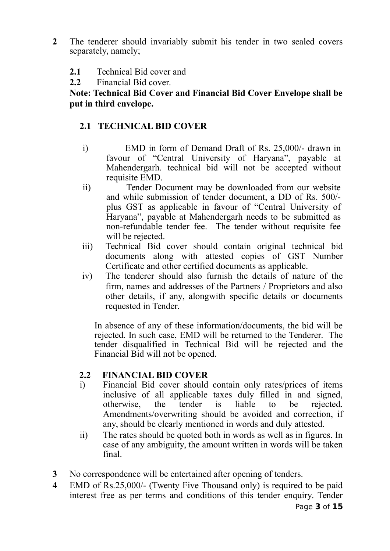- **2** The tenderer should invariably submit his tender in two sealed covers separately, namely;
	- **2.1** Technical Bid cover and
	- **2.2** Financial Bid cover.

## **Note: Technical Bid Cover and Financial Bid Cover Envelope shall be put in third envelope.**

## **2.1 TECHNICAL BID COVER**

- i) EMD in form of Demand Draft of Rs. 25,000/- drawn in favour of "Central University of Haryana", payable at Mahendergarh. technical bid will not be accepted without requisite EMD.
- ii) Tender Document may be downloaded from our website and while submission of tender document, a DD of Rs. 500/ plus GST as applicable in favour of "Central University of Haryana", payable at Mahendergarh needs to be submitted as non-refundable tender fee. The tender without requisite fee will be rejected.
- iii) Technical Bid cover should contain original technical bid documents along with attested copies of GST Number Certificate and other certified documents as applicable.
- iv) The tenderer should also furnish the details of nature of the firm, names and addresses of the Partners / Proprietors and also other details, if any, alongwith specific details or documents requested in Tender.

In absence of any of these information/documents, the bid will be rejected. In such case, EMD will be returned to the Tenderer. The tender disqualified in Technical Bid will be rejected and the Financial Bid will not be opened.

## **2.2 FINANCIAL BID COVER**

- i) Financial Bid cover should contain only rates/prices of items inclusive of all applicable taxes duly filled in and signed, otherwise, the tender is liable to be rejected. Amendments/overwriting should be avoided and correction, if any, should be clearly mentioned in words and duly attested.
- ii) The rates should be quoted both in words as well as in figures. In case of any ambiguity, the amount written in words will be taken final.
- **3** No correspondence will be entertained after opening of tenders.
- **4** EMD of Rs.25,000/- (Twenty Five Thousand only) is required to be paid interest free as per terms and conditions of this tender enquiry. Tender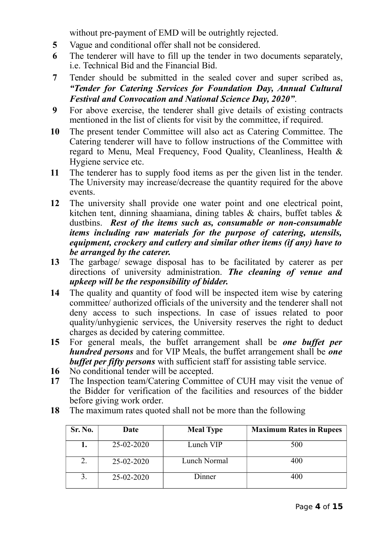without pre-payment of EMD will be outrightly rejected.

- **5** Vague and conditional offer shall not be considered.
- **6** The tenderer will have to fill up the tender in two documents separately, i.e. Technical Bid and the Financial Bid.
- **7** Tender should be submitted in the sealed cover and super scribed as, *"Tender for Catering Services for Foundation Day, Annual Cultural Festival and Convocation and National Science Day, 2020"*.
- **9** For above exercise, the tenderer shall give details of existing contracts mentioned in the list of clients for visit by the committee, if required.
- **10** The present tender Committee will also act as Catering Committee. The Catering tenderer will have to follow instructions of the Committee with regard to Menu, Meal Frequency, Food Quality, Cleanliness, Health & Hygiene service etc.
- **11** The tenderer has to supply food items as per the given list in the tender. The University may increase/decrease the quantity required for the above events.
- **12** The university shall provide one water point and one electrical point, kitchen tent, dinning shaamiana, dining tables & chairs, buffet tables & dustbins. *Rest of the items such as, consumable or non-consumable items including raw materials for the purpose of catering, utensils, equipment, crockery and cutlery and similar other items (if any) have to be arranged by the caterer.*
- **13** The garbage/ sewage disposal has to be facilitated by caterer as per directions of university administration. *The cleaning of venue and upkeep will be the responsibility of bidder.*
- **14** The quality and quantity of food will be inspected item wise by catering committee/ authorized officials of the university and the tenderer shall not deny access to such inspections. In case of issues related to poor quality/unhygienic services, the University reserves the right to deduct charges as decided by catering committee.
- **15** For general meals, the buffet arrangement shall be *one buffet per hundred persons* and for VIP Meals, the buffet arrangement shall be *one buffet per fifty persons* with sufficient staff for assisting table service.
- **16** No conditional tender will be accepted.
- **17** The Inspection team/Catering Committee of CUH may visit the venue of the Bidder for verification of the facilities and resources of the bidder before giving work order.
- **18** The maximum rates quoted shall not be more than the following

| Sr. No. | Date       | <b>Meal Type</b> | <b>Maximum Rates in Rupees</b> |
|---------|------------|------------------|--------------------------------|
|         | 25-02-2020 | Lunch VIP        | 500                            |
|         | 25-02-2020 | Lunch Normal     | 400                            |
|         | 25-02-2020 | Dinner           | 400                            |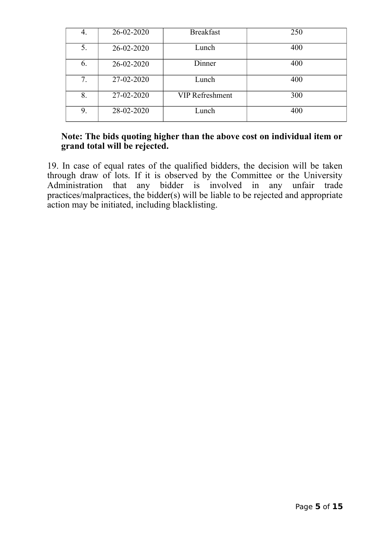| 4. | 26-02-2020 | <b>Breakfast</b>       | 250 |
|----|------------|------------------------|-----|
| 5. | 26-02-2020 | Lunch                  | 400 |
| 6. | 26-02-2020 | Dinner                 | 400 |
| 7. | 27-02-2020 | Lunch                  | 400 |
| 8. | 27-02-2020 | <b>VIP Refreshment</b> | 300 |
| 9. | 28-02-2020 | Lunch                  | 400 |

## **Note: The bids quoting higher than the above cost on individual item or grand total will be rejected.**

19. In case of equal rates of the qualified bidders, the decision will be taken through draw of lots. If it is observed by the Committee or the University Administration that any bidder is involved in any unfair trade practices/malpractices, the bidder(s) will be liable to be rejected and appropriate action may be initiated, including blacklisting.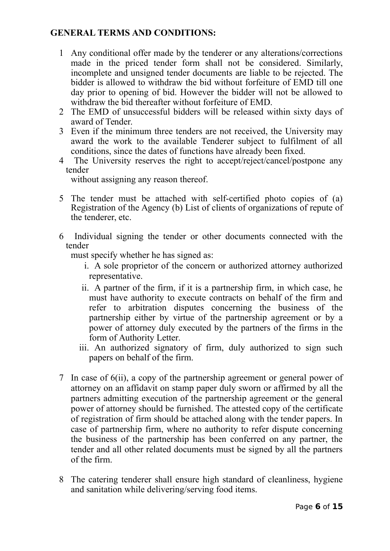## **GENERAL TERMS AND CONDITIONS:**

- 1 Any conditional offer made by the tenderer or any alterations/corrections made in the priced tender form shall not be considered. Similarly, incomplete and unsigned tender documents are liable to be rejected. The bidder is allowed to withdraw the bid without forfeiture of EMD till one day prior to opening of bid. However the bidder will not be allowed to withdraw the bid thereafter without forfeiture of EMD.
- 2 The EMD of unsuccessful bidders will be released within sixty days of award of Tender.
- 3 Even if the minimum three tenders are not received, the University may award the work to the available Tenderer subject to fulfilment of all conditions, since the dates of functions have already been fixed.
- 4 The University reserves the right to accept/reject/cancel/postpone any tender

without assigning any reason thereof.

- 5 The tender must be attached with self-certified photo copies of (a) Registration of the Agency (b) List of clients of organizations of repute of the tenderer, etc.
- 6 Individual signing the tender or other documents connected with the tender

must specify whether he has signed as:

- i. A sole proprietor of the concern or authorized attorney authorized representative.
- ii. A partner of the firm, if it is a partnership firm, in which case, he must have authority to execute contracts on behalf of the firm and refer to arbitration disputes concerning the business of the partnership either by virtue of the partnership agreement or by a power of attorney duly executed by the partners of the firms in the form of Authority Letter.
- iii. An authorized signatory of firm, duly authorized to sign such papers on behalf of the firm.
- 7 In case of 6(ii), a copy of the partnership agreement or general power of attorney on an affidavit on stamp paper duly sworn or affirmed by all the partners admitting execution of the partnership agreement or the general power of attorney should be furnished. The attested copy of the certificate of registration of firm should be attached along with the tender papers. In case of partnership firm, where no authority to refer dispute concerning the business of the partnership has been conferred on any partner, the tender and all other related documents must be signed by all the partners of the firm.
- 8 The catering tenderer shall ensure high standard of cleanliness, hygiene and sanitation while delivering/serving food items.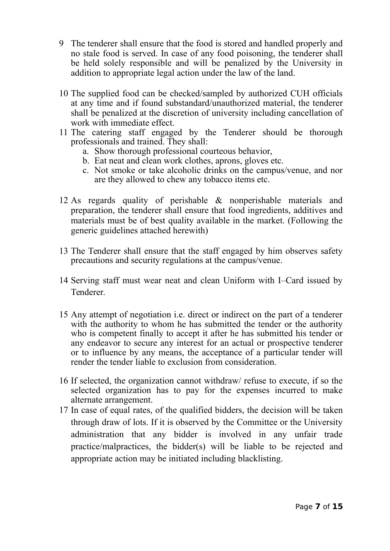- 9 The tenderer shall ensure that the food is stored and handled properly and no stale food is served. In case of any food poisoning, the tenderer shall be held solely responsible and will be penalized by the University in addition to appropriate legal action under the law of the land.
- 10 The supplied food can be checked/sampled by authorized CUH officials at any time and if found substandard/unauthorized material, the tenderer shall be penalized at the discretion of university including cancellation of work with immediate effect.
- 11 The catering staff engaged by the Tenderer should be thorough professionals and trained. They shall:
	- a. Show thorough professional courteous behavior,
	- b. Eat neat and clean work clothes, aprons, gloves etc.
	- c. Not smoke or take alcoholic drinks on the campus/venue, and nor are they allowed to chew any tobacco items etc.
- 12 As regards quality of perishable & nonperishable materials and preparation, the tenderer shall ensure that food ingredients, additives and materials must be of best quality available in the market. (Following the generic guidelines attached herewith)
- 13 The Tenderer shall ensure that the staff engaged by him observes safety precautions and security regulations at the campus/venue.
- 14 Serving staff must wear neat and clean Uniform with I–Card issued by Tenderer.
- 15 Any attempt of negotiation i.e. direct or indirect on the part of a tenderer with the authority to whom he has submitted the tender or the authority who is competent finally to accept it after he has submitted his tender or any endeavor to secure any interest for an actual or prospective tenderer or to influence by any means, the acceptance of a particular tender will render the tender liable to exclusion from consideration.
- 16 If selected, the organization cannot withdraw/ refuse to execute, if so the selected organization has to pay for the expenses incurred to make alternate arrangement.
- 17 In case of equal rates, of the qualified bidders, the decision will be taken through draw of lots. If it is observed by the Committee or the University administration that any bidder is involved in any unfair trade practice/malpractices, the bidder(s) will be liable to be rejected and appropriate action may be initiated including blacklisting.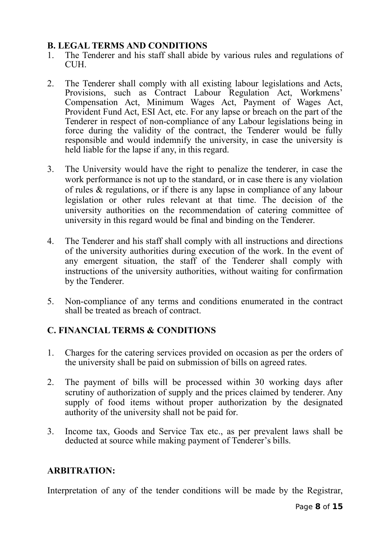## **B. LEGAL TERMS AND CONDITIONS**

- 1. The Tenderer and his staff shall abide by various rules and regulations of CUH.
- 2. The Tenderer shall comply with all existing labour legislations and Acts, Provisions, such as Contract Labour Regulation Act, Workmens' Compensation Act, Minimum Wages Act, Payment of Wages Act, Provident Fund Act, ESI Act, etc. For any lapse or breach on the part of the Tenderer in respect of non-compliance of any Labour legislations being in force during the validity of the contract, the Tenderer would be fully responsible and would indemnify the university, in case the university is held liable for the lapse if any, in this regard.
- 3. The University would have the right to penalize the tenderer, in case the work performance is not up to the standard, or in case there is any violation of rules & regulations, or if there is any lapse in compliance of any labour legislation or other rules relevant at that time. The decision of the university authorities on the recommendation of catering committee of university in this regard would be final and binding on the Tenderer.
- 4. The Tenderer and his staff shall comply with all instructions and directions of the university authorities during execution of the work. In the event of any emergent situation, the staff of the Tenderer shall comply with instructions of the university authorities, without waiting for confirmation by the Tenderer.
- 5. Non-compliance of any terms and conditions enumerated in the contract shall be treated as breach of contract.

## **C. FINANCIAL TERMS & CONDITIONS**

- 1. Charges for the catering services provided on occasion as per the orders of the university shall be paid on submission of bills on agreed rates.
- 2. The payment of bills will be processed within 30 working days after scrutiny of authorization of supply and the prices claimed by tenderer. Any supply of food items without proper authorization by the designated authority of the university shall not be paid for.
- 3. Income tax, Goods and Service Tax etc., as per prevalent laws shall be deducted at source while making payment of Tenderer's bills.

## **ARBITRATION:**

Interpretation of any of the tender conditions will be made by the Registrar,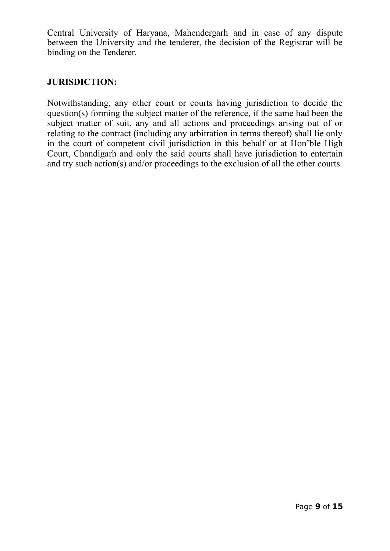Central University of Haryana, Mahendergarh and in case of any dispute between the University and the tenderer, the decision of the Registrar will be binding on the Tenderer.

## **JURISDICTION:**

Notwithstanding, any other court or courts having jurisdiction to decide the question(s) forming the subject matter of the reference, if the same had been the subject matter of suit, any and all actions and proceedings arising out of or relating to the contract (including any arbitration in terms thereof) shall lie only in the court of competent civil jurisdiction in this behalf or at Hon'ble High Court, Chandigarh and only the said courts shall have jurisdiction to entertain and try such action(s) and/or proceedings to the exclusion of all the other courts.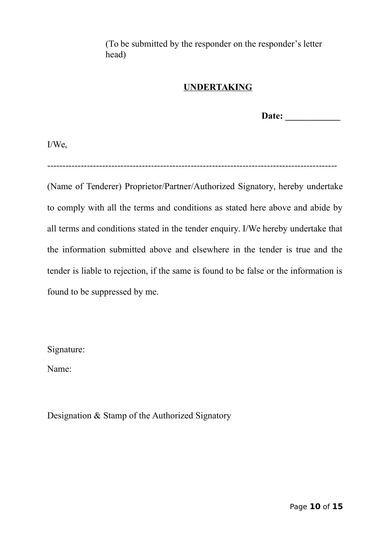(To be submitted by the responder on the responder's letter head)

## **UNDERTAKING**

**Date: \_\_\_\_\_\_\_\_\_\_\_\_**

I/We,

-----------------------------------------------------------------------------------------------

(Name of Tenderer) Proprietor/Partner/Authorized Signatory, hereby undertake to comply with all the terms and conditions as stated here above and abide by all terms and conditions stated in the tender enquiry. I/We hereby undertake that the information submitted above and elsewhere in the tender is true and the tender is liable to rejection, if the same is found to be false or the information is found to be suppressed by me.

Signature:

Name:

Designation & Stamp of the Authorized Signatory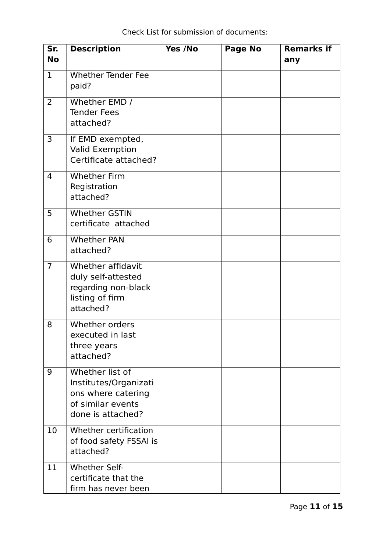| Sr.<br><b>No</b> | <b>Description</b>                                                                                       | Yes /No | Page No | <b>Remarks if</b><br>any |
|------------------|----------------------------------------------------------------------------------------------------------|---------|---------|--------------------------|
| $\mathbf{1}$     | <b>Whether Tender Fee</b><br>paid?                                                                       |         |         |                          |
| $\overline{2}$   | Whether EMD /<br><b>Tender Fees</b><br>attached?                                                         |         |         |                          |
| 3                | If EMD exempted,<br><b>Valid Exemption</b><br>Certificate attached?                                      |         |         |                          |
| 4                | <b>Whether Firm</b><br>Registration<br>attached?                                                         |         |         |                          |
| 5                | <b>Whether GSTIN</b><br>certificate attached                                                             |         |         |                          |
| 6                | <b>Whether PAN</b><br>attached?                                                                          |         |         |                          |
| $\overline{7}$   | Whether affidavit<br>duly self-attested<br>regarding non-black<br>listing of firm<br>attached?           |         |         |                          |
| 8                | Whether orders<br>executed in last<br>three years<br>attached?                                           |         |         |                          |
| 9                | Whether list of<br>Institutes/Organizati<br>ons where catering<br>of similar events<br>done is attached? |         |         |                          |
| 10               | Whether certification<br>of food safety FSSAI is<br>attached?                                            |         |         |                          |
| 11               | <b>Whether Self-</b><br>certificate that the<br>firm has never been                                      |         |         |                          |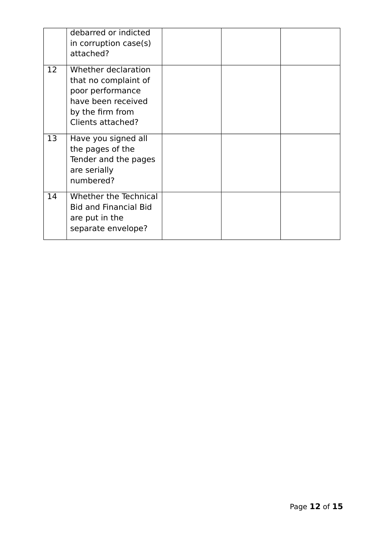|    | debarred or indicted<br>in corruption case(s)<br>attached?                                                                     |  |  |
|----|--------------------------------------------------------------------------------------------------------------------------------|--|--|
| 12 | Whether declaration<br>that no complaint of<br>poor performance<br>have been received<br>by the firm from<br>Clients attached? |  |  |
| 13 | Have you signed all<br>the pages of the<br>Tender and the pages<br>are serially<br>numbered?                                   |  |  |
| 14 | Whether the Technical<br><b>Bid and Financial Bid</b><br>are put in the<br>separate envelope?                                  |  |  |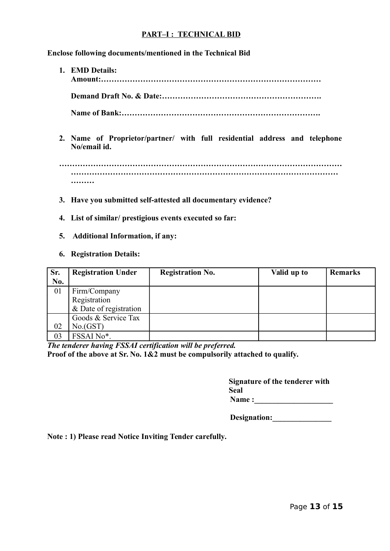### **PART–I : TECHNICAL BID**

**Enclose following documents/mentioned in the Technical Bid**

**1. EMD Details: Amount:………………………………………………………………………… Demand Draft No. & Date:…………………………………………………….**

**Name of Bank:………………………………………………………………….**

**2. Name of Proprietor/partner/ with full residential address and telephone No/email id.**

**……………………………………………………………………………………………… ………………………………………………………………………………………… ………**

- **3. Have you submitted self-attested all documentary evidence?**
- **4. List of similar/ prestigious events executed so far:**
- **5. Additional Information, if any:**

### **6. Registration Details:**

| Sr. | <b>Registration Under</b> | <b>Registration No.</b> | Valid up to | <b>Remarks</b> |
|-----|---------------------------|-------------------------|-------------|----------------|
| No. |                           |                         |             |                |
| 01  | Firm/Company              |                         |             |                |
|     | Registration              |                         |             |                |
|     | & Date of registration    |                         |             |                |
|     | Goods & Service Tax       |                         |             |                |
| 02  | No(GST)                   |                         |             |                |
| 03  | FSSAI No*.                |                         |             |                |

*The tenderer having FSSAI certification will be preferred.*  **Proof of the above at Sr. No. 1&2 must be compulsorily attached to qualify.**

> **Signature of the tenderer with Seal Name :**

> **Designation:\_\_\_\_\_\_\_\_\_\_\_\_\_\_\_**

**Note : 1) Please read Notice Inviting Tender carefully.**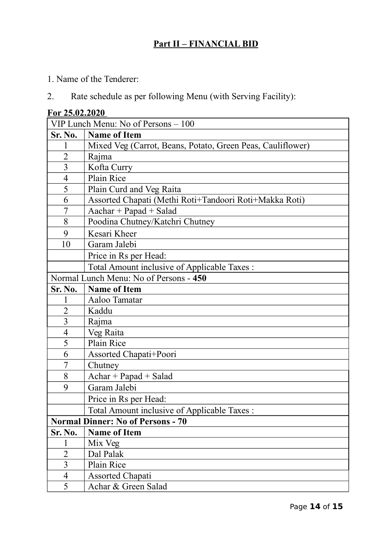# **Part II – FINANCIAL BID**

- 1. Name of the Tenderer:
- 2. Rate schedule as per following Menu (with Serving Facility):

| For 25.02.2020                           |                                                            |  |  |
|------------------------------------------|------------------------------------------------------------|--|--|
| VIP Lunch Menu: No of Persons – 100      |                                                            |  |  |
| Sr. No.                                  | <b>Name of Item</b>                                        |  |  |
| 1                                        | Mixed Veg (Carrot, Beans, Potato, Green Peas, Cauliflower) |  |  |
| $\overline{2}$                           | Rajma                                                      |  |  |
| $\overline{3}$                           | Kofta Curry                                                |  |  |
| $\overline{4}$                           | Plain Rice                                                 |  |  |
| 5                                        | Plain Curd and Veg Raita                                   |  |  |
| 6                                        | Assorted Chapati (Methi Roti+Tandoori Roti+Makka Roti)     |  |  |
| 7                                        | $Aachar + Papad + Salad$                                   |  |  |
| 8                                        | Poodina Chutney/Katchri Chutney                            |  |  |
| 9                                        | Kesari Kheer                                               |  |  |
| 10                                       | Garam Jalebi                                               |  |  |
|                                          | Price in Rs per Head:                                      |  |  |
|                                          | Total Amount inclusive of Applicable Taxes:                |  |  |
|                                          | Normal Lunch Menu: No of Persons - 450                     |  |  |
| <b>Sr. No.</b>                           | <b>Name of Item</b>                                        |  |  |
| 1                                        | Aaloo Tamatar                                              |  |  |
| $\overline{2}$                           | Kaddu                                                      |  |  |
| $\overline{3}$                           | Rajma                                                      |  |  |
| $\overline{4}$                           | Veg Raita                                                  |  |  |
| 5                                        | Plain Rice                                                 |  |  |
| 6                                        | Assorted Chapati+Poori                                     |  |  |
| 7                                        | Chutney                                                    |  |  |
| 8                                        | $Achar + Papad + Salad$                                    |  |  |
| 9                                        | Garam Jalebi                                               |  |  |
|                                          | Price in Rs per Head:                                      |  |  |
|                                          | Total Amount inclusive of Applicable Taxes:                |  |  |
| <b>Normal Dinner: No of Persons - 70</b> |                                                            |  |  |
| Sr. No.                                  | <b>Name of Item</b>                                        |  |  |
| 1                                        | Mix Veg                                                    |  |  |
| $\overline{2}$                           | Dal Palak                                                  |  |  |
| 3                                        | Plain Rice                                                 |  |  |
| $\overline{4}$                           | <b>Assorted Chapati</b>                                    |  |  |
| 5                                        | Achar & Green Salad                                        |  |  |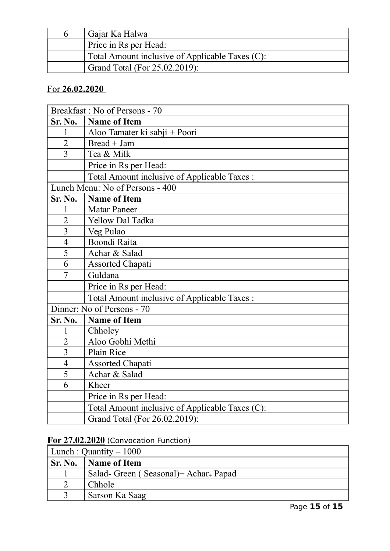| Gajar Ka Halwa                                  |
|-------------------------------------------------|
| Price in Rs per Head:                           |
| Total Amount inclusive of Applicable Taxes (C): |
| Grand Total (For 25.02.2019):                   |

# For **26.02.2020**

|                            | Breakfast: No of Persons - 70                   |  |
|----------------------------|-------------------------------------------------|--|
| <b>Sr. No.</b>             | <b>Name of Item</b>                             |  |
| $\mathbf{1}$               | Aloo Tamater ki sabji + Poori                   |  |
| $\overline{2}$             | $Bread + Jam$                                   |  |
| $\overline{3}$             | Tea & Milk                                      |  |
|                            | Price in Rs per Head:                           |  |
|                            | Total Amount inclusive of Applicable Taxes :    |  |
|                            | Lunch Menu: No of Persons - 400                 |  |
| <b>Sr. No.</b>             | <b>Name of Item</b>                             |  |
| 1                          | <b>Matar Paneer</b>                             |  |
| $\overline{2}$             | <b>Yellow Dal Tadka</b>                         |  |
| 3                          | Veg Pulao                                       |  |
| $\overline{4}$             | Boondi Raita                                    |  |
| 5                          | Achar & Salad                                   |  |
| 6                          | <b>Assorted Chapati</b>                         |  |
| 7                          | Guldana                                         |  |
|                            | Price in Rs per Head:                           |  |
|                            | Total Amount inclusive of Applicable Taxes :    |  |
| Dinner: No of Persons - 70 |                                                 |  |
| Sr. No.                    | <b>Name of Item</b>                             |  |
| 1                          | Chholey                                         |  |
| $\overline{2}$             | Aloo Gobhi Methi                                |  |
| 3                          | Plain Rice                                      |  |
| $\overline{4}$             | <b>Assorted Chapati</b>                         |  |
| 5                          | Achar & Salad                                   |  |
| 6                          | Kheer                                           |  |
|                            | Price in Rs per Head:                           |  |
|                            | Total Amount inclusive of Applicable Taxes (C): |  |
|                            | Grand Total (For 26.02.2019):                   |  |

# **For 27.02.2020** (Convocation Function)

| Lunch : Quantity $-1000$ |                                                  |  |
|--------------------------|--------------------------------------------------|--|
| Sr. No.                  | Name of Item                                     |  |
|                          | Salad-Green (Seasonal)+ Achar <sub>+</sub> Papad |  |
|                          | Chhole                                           |  |
|                          | Sarson Ka Saag                                   |  |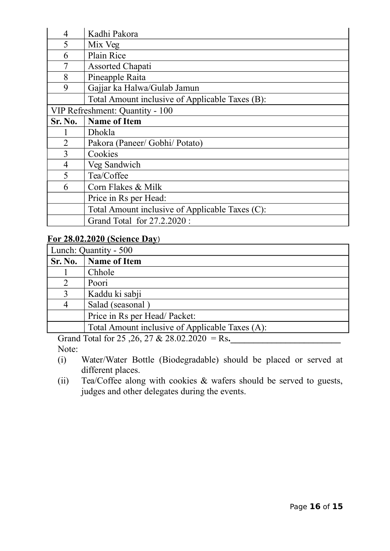| $\overline{4}$ | Kadhi Pakora                                    |  |
|----------------|-------------------------------------------------|--|
| 5              | Mix Veg                                         |  |
| 6              | Plain Rice                                      |  |
| 7              | <b>Assorted Chapati</b>                         |  |
| 8              | Pineapple Raita                                 |  |
| 9              | Gajjar ka Halwa/Gulab Jamun                     |  |
|                | Total Amount inclusive of Applicable Taxes (B): |  |
|                | VIP Refreshment: Quantity - 100                 |  |
| Sr. No.        | <b>Name of Item</b>                             |  |
|                | Dhokla                                          |  |
| $\overline{2}$ | Pakora (Paneer/ Gobhi/ Potato)                  |  |
| 3              | Cookies                                         |  |
| $\overline{4}$ | Veg Sandwich                                    |  |
| 5              | Tea/Coffee                                      |  |
| 6              | Corn Flakes & Milk                              |  |
|                | Price in Rs per Head:                           |  |
|                | Total Amount inclusive of Applicable Taxes (C): |  |
|                | Grand Total for 27.2.2020:                      |  |

## **For 28.02.2020 (Science Day**)

| Lunch: Quantity - 500 |                                                 |
|-----------------------|-------------------------------------------------|
| <b>Sr. No.</b>        | <b>Name of Item</b>                             |
|                       | Chhole                                          |
| 2                     | Poori                                           |
| 3                     | Kaddu ki sabji                                  |
| 4                     | Salad (seasonal)                                |
|                       | Price in Rs per Head/Packet:                    |
|                       | Total Amount inclusive of Applicable Taxes (A): |

Grand Total for 25,26, 27 & 28.02.2020 = Rs. Note:

- (i) Water/Water Bottle (Biodegradable) should be placed or served at different places.
- (ii) Tea/Coffee along with cookies & wafers should be served to guests, judges and other delegates during the events.